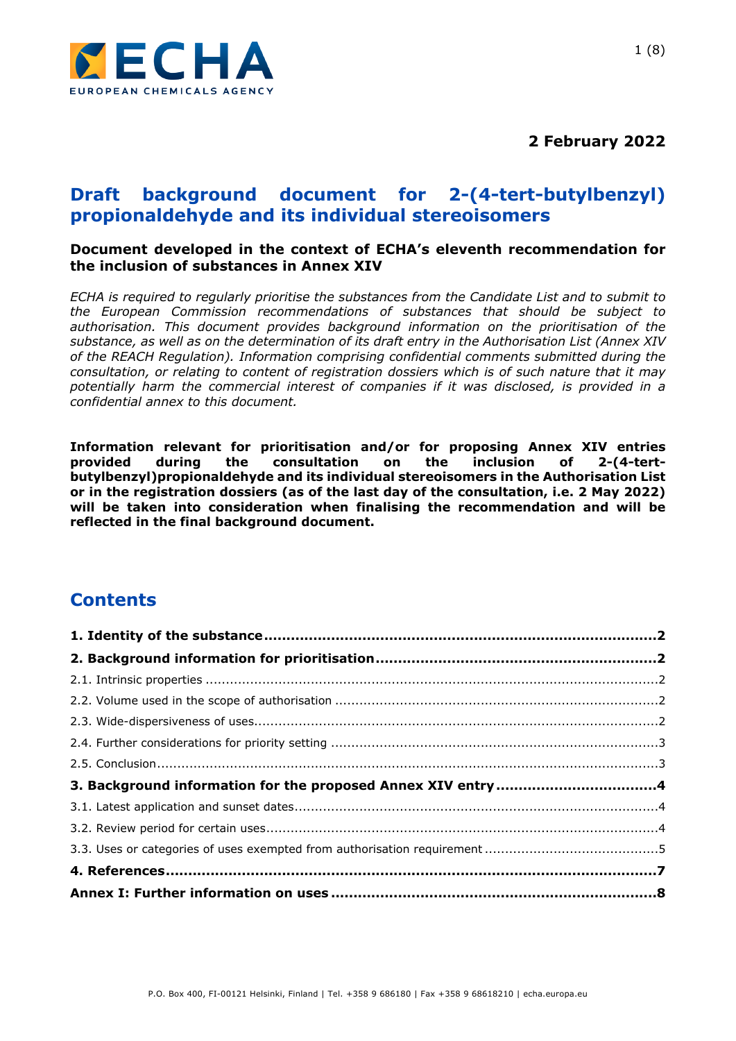

**2 February 2022**

## **Draft background document for 2-(4-tert-butylbenzyl) propionaldehyde and its individual stereoisomers**

#### **Document developed in the context of ECHA's eleventh recommendation for the inclusion of substances in Annex XIV**

*ECHA is required to regularly prioritise the substances from the Candidate List and to submit to the European Commission recommendations of substances that should be subject to authorisation. This document provides background information on the prioritisation of the substance, as well as on the determination of its draft entry in the Authorisation List (Annex XIV of the REACH Regulation). Information comprising confidential comments submitted during the consultation, or relating to content of registration dossiers which is of such nature that it may potentially harm the commercial interest of companies if it was disclosed, is provided in a confidential annex to this document.*

**Information relevant for prioritisation and/or for proposing Annex XIV entries provided during the consultation on the inclusion of 2-(4-tertbutylbenzyl)propionaldehyde and its individual stereoisomers in the Authorisation List or in the registration dossiers (as of the last day of the consultation, i.e. 2 May 2022) will be taken into consideration when finalising the recommendation and will be reflected in the final background document.**

# **Contents**

| 3. Background information for the proposed Annex XIV entry 4 |  |
|--------------------------------------------------------------|--|
|                                                              |  |
|                                                              |  |
|                                                              |  |
|                                                              |  |
|                                                              |  |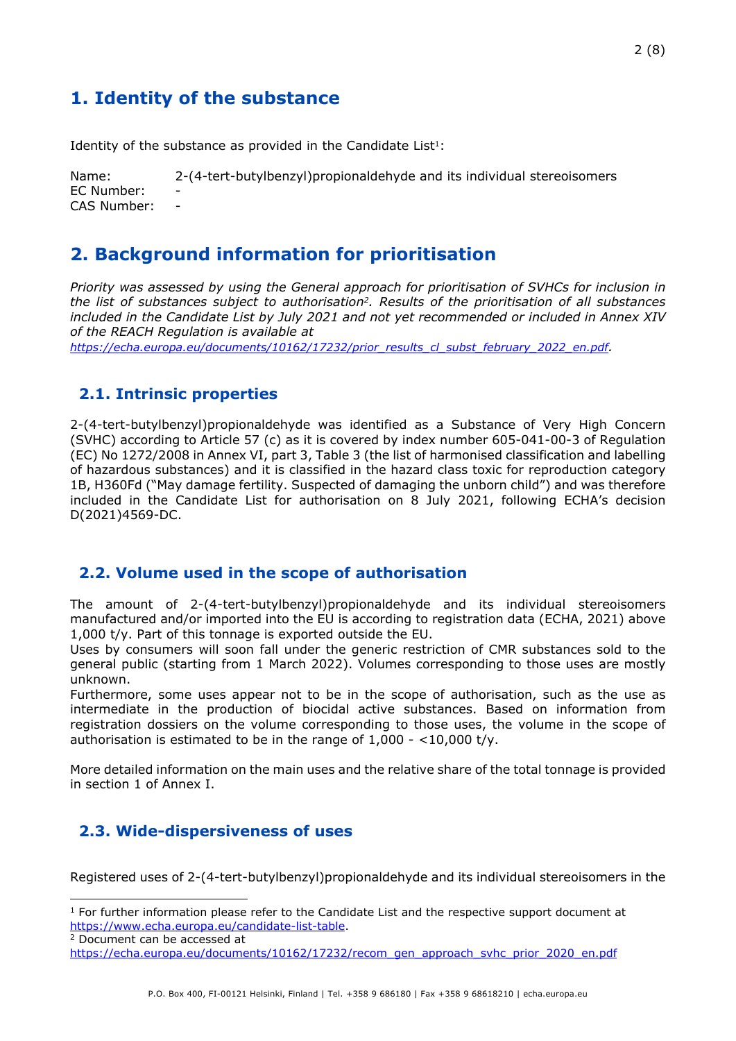# 2 (8)

## <span id="page-1-0"></span>**1. Identity of the substance**

Identity of the substance as provided in the Candidate List $1$ :

Name: 2-(4-tert-butylbenzyl)propionaldehyde and its individual stereoisomers EC Number: CAS Number:

### <span id="page-1-1"></span>**2. Background information for prioritisation**

*Priority was assessed by using the General approach for prioritisation of SVHCs for inclusion in the list of substances subject to authorisation2. Results of the prioritisation of all substances included in the Candidate List by July 2021 and not yet recommended or included in Annex XIV of the REACH Regulation is available at*

*[https://echa.europa.eu/documents/10162/17232/prior\\_results\\_cl\\_subst\\_february\\_2022\\_en.pdf](https://echa.europa.eu/documents/10162/17232/prior_results_cl_subst_february_2022_en.pdf).* 

### <span id="page-1-2"></span>**2.1. Intrinsic properties**

2-(4-tert-butylbenzyl)propionaldehyde was identified as a Substance of Very High Concern (SVHC) according to Article 57 (c) as it is covered by index number 605-041-00-3 of Regulation (EC) No 1272/2008 in Annex VI, part 3, Table 3 (the list of harmonised classification and labelling of hazardous substances) and it is classified in the hazard class toxic for reproduction category 1B, H360Fd ("May damage fertility. Suspected of damaging the unborn child") and was therefore included in the Candidate List for authorisation on 8 July 2021, following ECHA's decision D(2021)4569-DC.

#### <span id="page-1-3"></span>**2.2. Volume used in the scope of authorisation**

The amount of 2-(4-tert-butylbenzyl)propionaldehyde and its individual stereoisomers manufactured and/or imported into the EU is according to registration data (ECHA, 2021) above 1,000 t/y. Part of this tonnage is exported outside the EU.

Uses by consumers will soon fall under the generic restriction of CMR substances sold to the general public (starting from 1 March 2022). Volumes corresponding to those uses are mostly unknown.

Furthermore, some uses appear not to be in the scope of authorisation, such as the use as intermediate in the production of biocidal active substances. Based on information from registration dossiers on the volume corresponding to those uses, the volume in the scope of authorisation is estimated to be in the range of 1,000 - <10,000 t/y.

More detailed information on the main uses and the relative share of the total tonnage is provided in section 1 of Annex I.

#### <span id="page-1-4"></span>**2.3. Wide-dispersiveness of uses**

Registered uses of 2-(4-tert-butylbenzyl)propionaldehyde and its individual stereoisomers in the

<sup>2</sup> Document can be accessed at

 $1$  For further information please refer to the Candidate List and the respective support document at <https://www.echa.europa.eu/candidate-list-table>.

[https://echa.europa.eu/documents/10162/17232/recom\\_gen\\_approach\\_svhc\\_prior\\_2020\\_en.pdf](https://echa.europa.eu/documents/10162/17232/recom_gen_approach_svhc_prior_2020_en.pdf)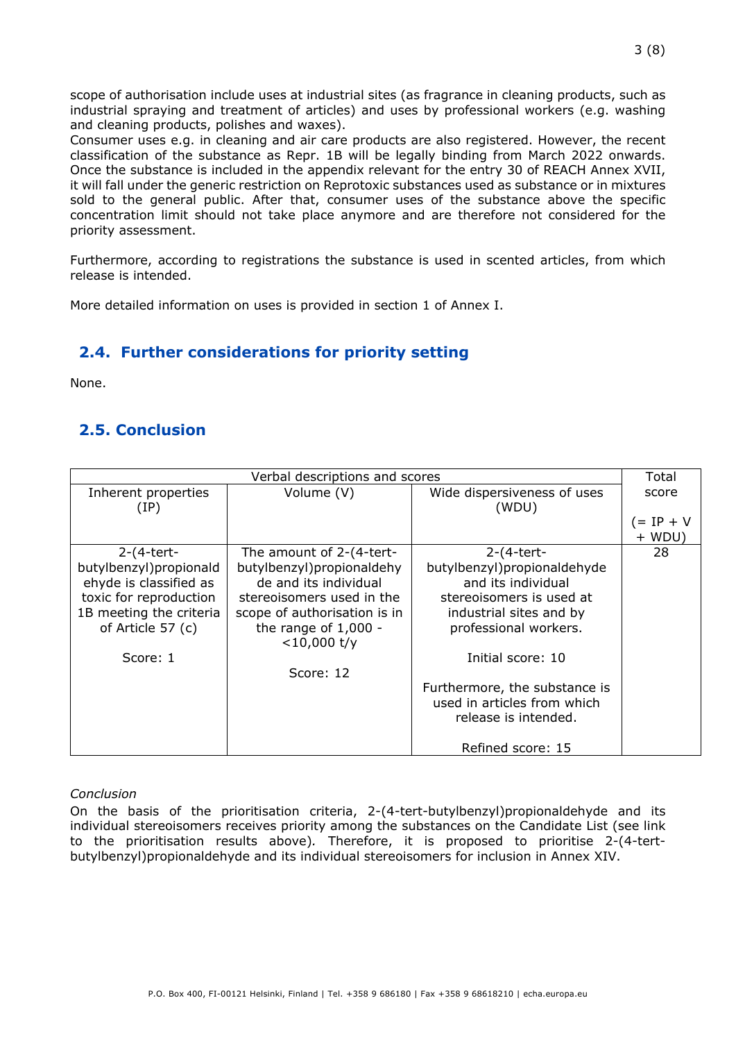scope of authorisation include uses at industrial sites (as fragrance in cleaning products, such as industrial spraying and treatment of articles) and uses by professional workers (e.g. washing and cleaning products, polishes and waxes).

Consumer uses e.g. in cleaning and air care products are also registered. However, the recent classification of the substance as Repr. 1B will be legally binding from March 2022 onwards. Once the substance is included in the appendix relevant for the entry 30 of REACH Annex XVII, it will fall under the generic restriction on Reprotoxic substances used as substance or in mixtures sold to the general public. After that, consumer uses of the substance above the specific concentration limit should not take place anymore and are therefore not considered for the priority assessment.

Furthermore, according to registrations the substance is used in scented articles, from which release is intended.

More detailed information on uses is provided in section 1 of Annex I.

### <span id="page-2-0"></span>**2.4. Further considerations for priority setting**

None.

### <span id="page-2-1"></span>**2.5. Conclusion**

| Verbal descriptions and scores |                                          |                               | Total      |
|--------------------------------|------------------------------------------|-------------------------------|------------|
| Inherent properties            | Volume (V)                               | Wide dispersiveness of uses   | score      |
| (IP)                           |                                          | (WDU)                         |            |
|                                |                                          |                               | $= IP + V$ |
|                                |                                          |                               | $+ WDU$    |
| $2-(4-tert-$                   | The amount of 2-(4-tert-                 | $2-(4-tert-$                  | 28         |
| butylbenzyl) propionald        | butylbenzyl) propional dehy              | butylbenzyl)propionaldehyde   |            |
| ehyde is classified as         | de and its individual                    | and its individual            |            |
| toxic for reproduction         | stereoisomers used in the                | stereoisomers is used at      |            |
| 1B meeting the criteria        | scope of authorisation is in             | industrial sites and by       |            |
| of Article 57 (c)              | the range of $1,000 -$<br>$<$ 10,000 t/y | professional workers.         |            |
| Score: 1                       |                                          | Initial score: 10             |            |
|                                | Score: 12                                |                               |            |
|                                |                                          | Furthermore, the substance is |            |
|                                |                                          | used in articles from which   |            |
|                                |                                          | release is intended.          |            |
|                                |                                          |                               |            |
|                                |                                          | Refined score: 15             |            |

#### *Conclusion*

On the basis of the prioritisation criteria, 2-(4-tert-butylbenzyl)propionaldehyde and its individual stereoisomers receives priority among the substances on the Candidate List (see link to the prioritisation results above)*.* Therefore, it is proposed to prioritise 2-(4-tertbutylbenzyl)propionaldehyde and its individual stereoisomers for inclusion in Annex XIV.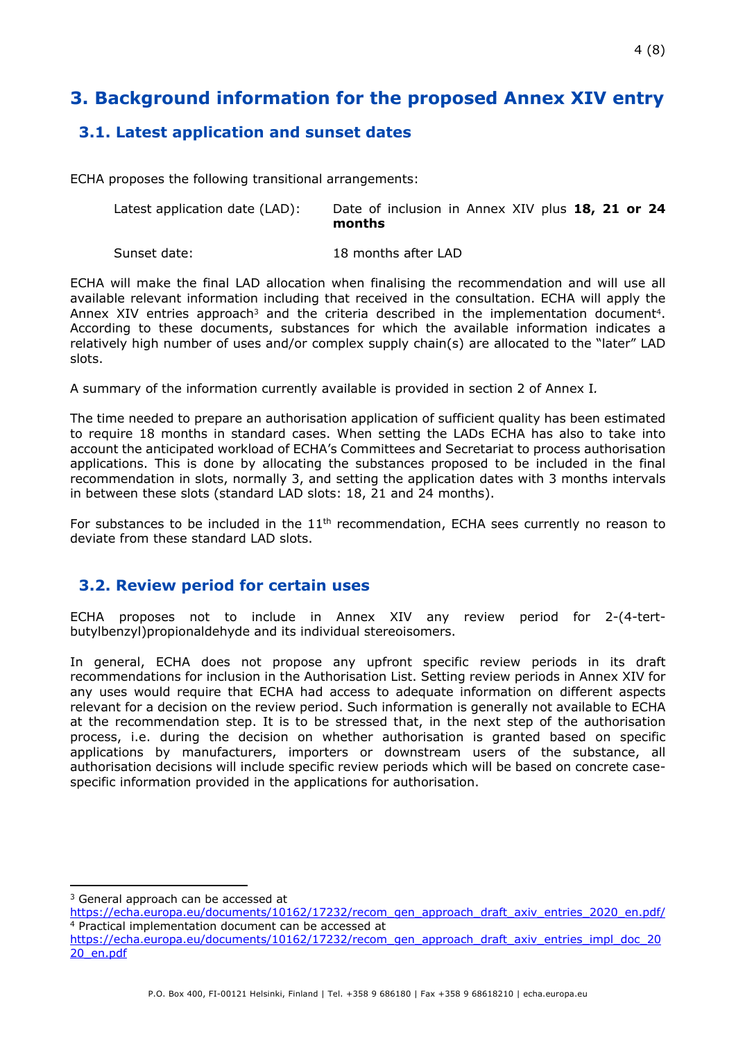# <span id="page-3-0"></span>**3. Background information for the proposed Annex XIV entry**

### <span id="page-3-1"></span>**3.1. Latest application and sunset dates**

ECHA proposes the following transitional arrangements:

| Latest application date (LAD): | Date of inclusion in Annex XIV plus 18, 21 or 24 |
|--------------------------------|--------------------------------------------------|
|                                | months                                           |

Sunset date: 18 months after LAD

ECHA will make the final LAD allocation when finalising the recommendation and will use all available relevant information including that received in the consultation. ECHA will apply the Annex XIV entries approach<sup>3</sup> and the criteria described in the implementation document<sup>4</sup>. According to these documents, substances for which the available information indicates a relatively high number of uses and/or complex supply chain(s) are allocated to the "later" LAD slots.

A summary of the information currently available is provided in section 2 of Annex I*.* 

The time needed to prepare an authorisation application of sufficient quality has been estimated to require 18 months in standard cases. When setting the LADs ECHA has also to take into account the anticipated workload of ECHA's Committees and Secretariat to process authorisation applications. This is done by allocating the substances proposed to be included in the final recommendation in slots, normally 3, and setting the application dates with 3 months intervals in between these slots (standard LAD slots: 18, 21 and 24 months).

For substances to be included in the  $11<sup>th</sup>$  recommendation, ECHA sees currently no reason to deviate from these standard LAD slots.

#### <span id="page-3-2"></span>**3.2. Review period for certain uses**

ECHA proposes not to include in Annex XIV any review period for 2-(4-tertbutylbenzyl)propionaldehyde and its individual stereoisomers.

In general, ECHA does not propose any upfront specific review periods in its draft recommendations for inclusion in the Authorisation List. Setting review periods in Annex XIV for any uses would require that ECHA had access to adequate information on different aspects relevant for a decision on the review period. Such information is generally not available to ECHA at the recommendation step. It is to be stressed that, in the next step of the authorisation process, i.e. during the decision on whether authorisation is granted based on specific applications by manufacturers, importers or downstream users of the substance, all authorisation decisions will include specific review periods which will be based on concrete casespecific information provided in the applications for authorisation.

<sup>&</sup>lt;sup>3</sup> General approach can be accessed at

[https://echa.europa.eu/documents/10162/17232/recom\\_gen\\_approach\\_draft\\_axiv\\_entries\\_2020\\_en.pdf/](https://echa.europa.eu/documents/10162/17232/recom_gen_approach_draft_axiv_entries_2020_en.pdf/) <sup>4</sup> Practical implementation document can be accessed at

[https://echa.europa.eu/documents/10162/17232/recom\\_gen\\_approach\\_draft\\_axiv\\_entries\\_impl\\_doc\\_20](https://echa.europa.eu/documents/10162/17232/recom_gen_approach_draft_axiv_entries_impl_doc_2020_en.pdf) [20\\_en.pdf](https://echa.europa.eu/documents/10162/17232/recom_gen_approach_draft_axiv_entries_impl_doc_2020_en.pdf)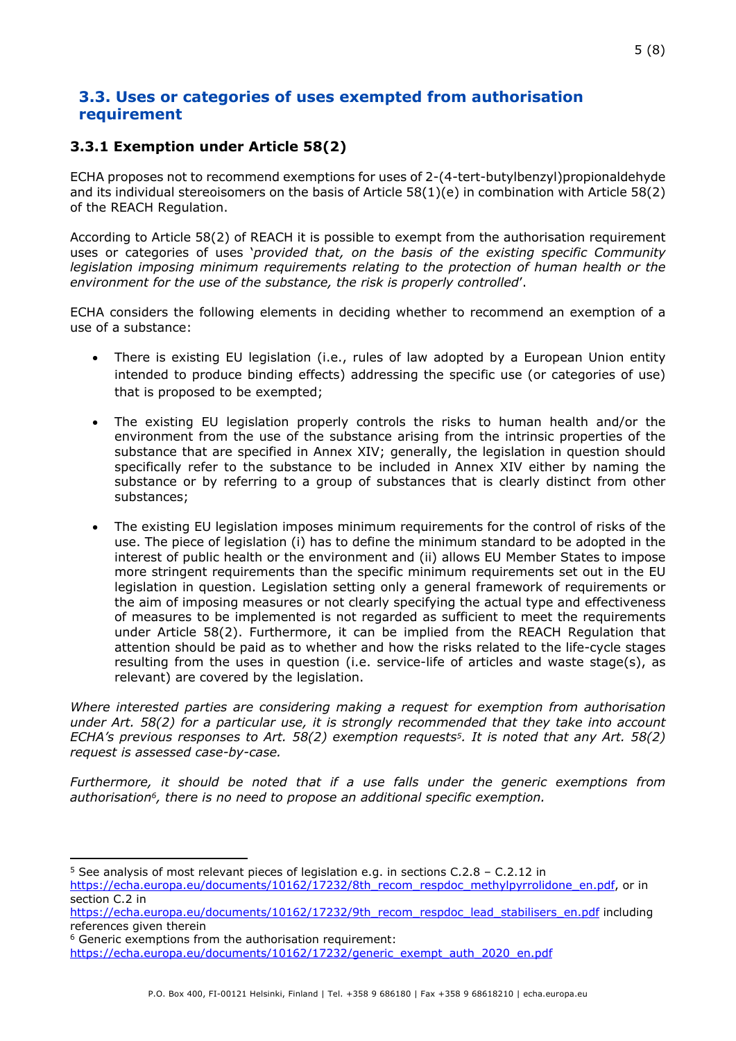### <span id="page-4-0"></span>**3.3. Uses or categories of uses exempted from authorisation requirement**

#### **3.3.1 Exemption under Article 58(2)**

ECHA proposes not to recommend exemptions for uses of 2-(4-tert-butylbenzyl)propionaldehyde and its individual stereoisomers on the basis of Article 58(1)(e) in combination with Article 58(2) of the REACH Regulation.

According to Article 58(2) of REACH it is possible to exempt from the authorisation requirement uses or categories of uses '*provided that, on the basis of the existing specific Community legislation imposing minimum requirements relating to the protection of human health or the environment for the use of the substance, the risk is properly controlled*'.

ECHA considers the following elements in deciding whether to recommend an exemption of a use of a substance:

- There is existing EU legislation (i.e., rules of law adopted by a European Union entity intended to produce binding effects) addressing the specific use (or categories of use) that is proposed to be exempted;
- The existing EU legislation properly controls the risks to human health and/or the environment from the use of the substance arising from the intrinsic properties of the substance that are specified in Annex XIV; generally, the legislation in question should specifically refer to the substance to be included in Annex XIV either by naming the substance or by referring to a group of substances that is clearly distinct from other substances;
- The existing EU legislation imposes minimum requirements for the control of risks of the use. The piece of legislation (i) has to define the minimum standard to be adopted in the interest of public health or the environment and (ii) allows EU Member States to impose more stringent requirements than the specific minimum requirements set out in the EU legislation in question. Legislation setting only a general framework of requirements or the aim of imposing measures or not clearly specifying the actual type and effectiveness of measures to be implemented is not regarded as sufficient to meet the requirements under Article 58(2). Furthermore, it can be implied from the REACH Regulation that attention should be paid as to whether and how the risks related to the life-cycle stages resulting from the uses in question (i.e. service-life of articles and waste stage(s), as relevant) are covered by the legislation.

*Where interested parties are considering making a request for exemption from authorisation under Art. 58(2) for a particular use, it is strongly recommended that they take into account ECHA's previous responses to Art. 58(2) exemption requests5. It is noted that any Art. 58(2) request is assessed case-by-case.*

*Furthermore, it should be noted that if a use falls under the generic exemptions from authorisation6, there is no need to propose an additional specific exemption.*

<sup>5</sup> See analysis of most relevant pieces of legislation e.g. in sections C.2.8 – C.2.12 in

[https://echa.europa.eu/documents/10162/17232/8th\\_recom\\_respdoc\\_methylpyrrolidone\\_en.pdf](https://echa.europa.eu/documents/10162/17232/8th_recom_respdoc_methylpyrrolidone_en.pdf), or in section C.2 in

[https://echa.europa.eu/documents/10162/17232/9th\\_recom\\_respdoc\\_lead\\_stabilisers\\_en.pdf](https://echa.europa.eu/documents/10162/17232/9th_recom_respdoc_lead_stabilisers_en.pdf) including references given therein

<sup>6</sup> Generic exemptions from the authorisation requirement:

[https://echa.europa.eu/documents/10162/17232/generic\\_exempt\\_auth\\_2020\\_en.pdf](https://echa.europa.eu/documents/10162/17232/generic_exempt_auth_2020_en.pdf)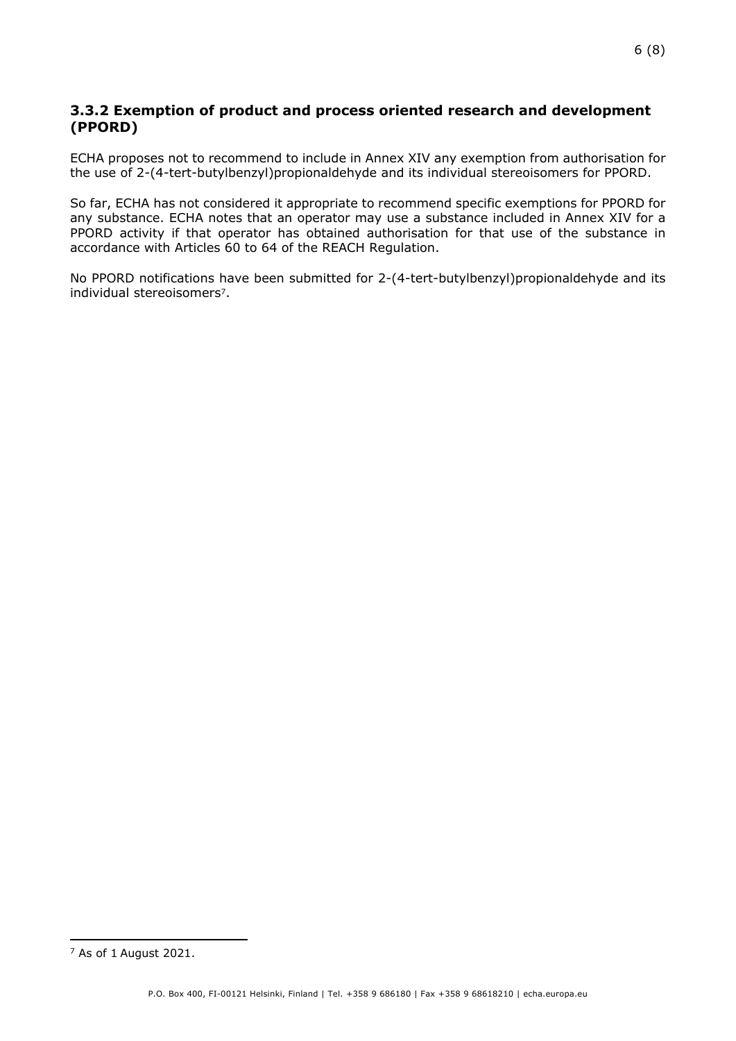#### **3.3.2 Exemption of product and process oriented research and development (PPORD)**

ECHA proposes not to recommend to include in Annex XIV any exemption from authorisation for the use of 2-(4-tert-butylbenzyl)propionaldehyde and its individual stereoisomers for PPORD.

So far, ECHA has not considered it appropriate to recommend specific exemptions for PPORD for any substance. ECHA notes that an operator may use a substance included in Annex XIV for a PPORD activity if that operator has obtained authorisation for that use of the substance in accordance with Articles 60 to 64 of the REACH Regulation.

No PPORD notifications have been submitted for 2-(4-tert-butylbenzyl)propionaldehyde and its individual stereoisomers7.

<sup>7</sup> As of 1 August 2021.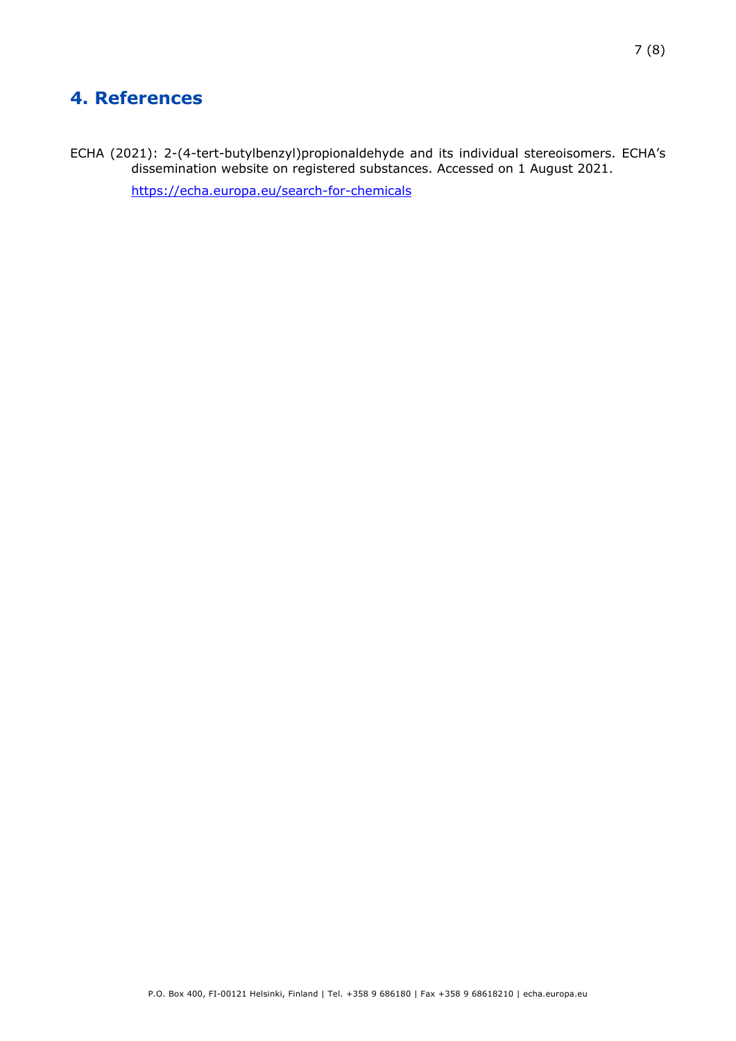# <span id="page-6-0"></span>**4. References**

ECHA (2021): 2-(4-tert-butylbenzyl)propionaldehyde and its individual stereoisomers. ECHA's dissemination website on registered substances. Accessed on 1 August 2021. <https://echa.europa.eu/search-for-chemicals>